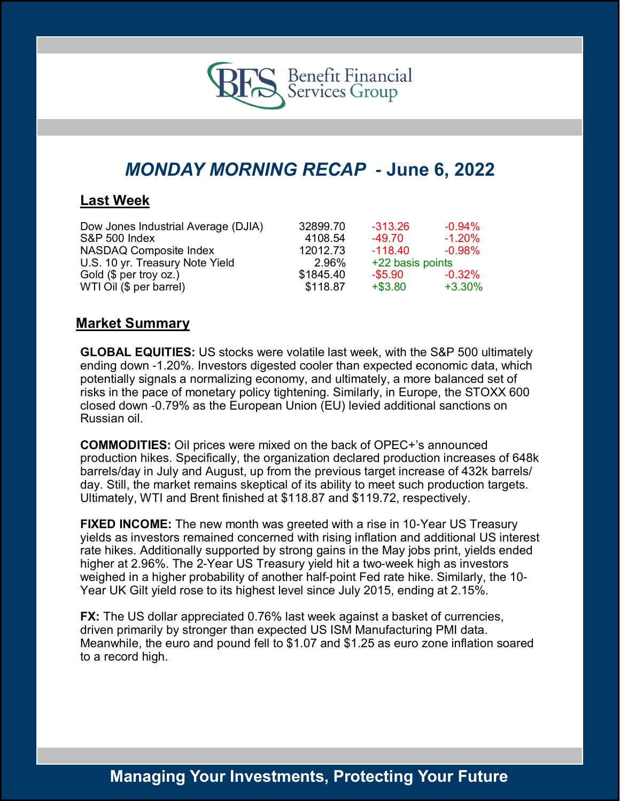

# *MONDAY MORNING RECAP -* **June 6, 2022**

### **Last Week**

| Dow Jones Industrial Average (DJIA) | 32899.70  | $-313.26$        | $-0.94\%$ |
|-------------------------------------|-----------|------------------|-----------|
| <b>S&amp;P 500 Index</b>            | 4108.54   | -49.70           | $-1.20\%$ |
| NASDAQ Composite Index              | 12012.73  | $-118.40$        | $-0.98\%$ |
| U.S. 10 yr. Treasury Note Yield     | 2.96%     | +22 basis points |           |
| Gold (\$ per troy oz.)              | \$1845.40 | -\$5.90          | $-0.32\%$ |
| WTI Oil (\$ per barrel)             | \$118.87  | $+ $3.80$        | $+3.30\%$ |

### **Market Summary**

**GLOBAL EQUITIES:** US stocks were volatile last week, with the S&P 500 ultimately ending down -1.20%. Investors digested cooler than expected economic data, which potentially signals a normalizing economy, and ultimately, a more balanced set of risks in the pace of monetary policy tightening. Similarly, in Europe, the STOXX 600 closed down -0.79% as the European Union (EU) levied additional sanctions on Russian oil.

**COMMODITIES:** Oil prices were mixed on the back of OPEC+'s announced production hikes. Specifically, the organization declared production increases of 648k barrels/day in July and August, up from the previous target increase of 432k barrels/ day. Still, the market remains skeptical of its ability to meet such production targets. Ultimately, WTI and Brent finished at \$118.87 and \$119.72, respectively.

**FIXED INCOME:** The new month was greeted with a rise in 10-Year US Treasury yields as investors remained concerned with rising inflation and additional US interest rate hikes. Additionally supported by strong gains in the May jobs print, yields ended higher at 2.96%. The 2-Year US Treasury yield hit a two-week high as investors weighed in a higher probability of another half-point Fed rate hike. Similarly, the 10- Year UK Gilt yield rose to its highest level since July 2015, ending at 2.15%.

**FX:** The US dollar appreciated 0.76% last week against a basket of currencies, driven primarily by stronger than expected US ISM Manufacturing PMI data. Meanwhile, the euro and pound fell to \$1.07 and \$1.25 as euro zone inflation soared to a record high.

## **Managing Your Investments, Protecting Your Future**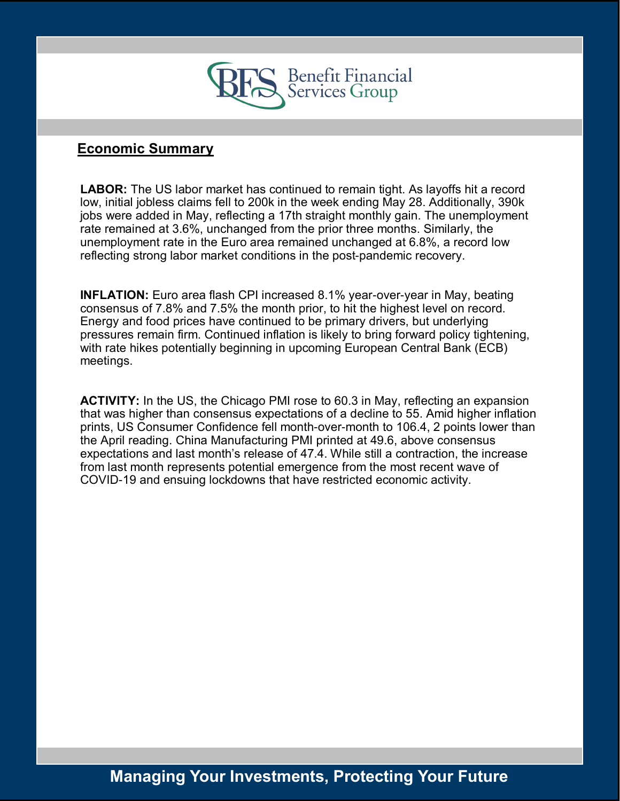

### **Economic Summary**

**LABOR:** The US labor market has continued to remain tight. As layoffs hit a record low, initial jobless claims fell to 200k in the week ending May 28. Additionally, 390k jobs were added in May, reflecting a 17th straight monthly gain. The unemployment rate remained at 3.6%, unchanged from the prior three months. Similarly, the unemployment rate in the Euro area remained unchanged at 6.8%, a record low reflecting strong labor market conditions in the post-pandemic recovery.

**INFLATION:** Euro area flash CPI increased 8.1% year-over-year in May, beating consensus of 7.8% and 7.5% the month prior, to hit the highest level on record. Energy and food prices have continued to be primary drivers, but underlying pressures remain firm. Continued inflation is likely to bring forward policy tightening, with rate hikes potentially beginning in upcoming European Central Bank (ECB) meetings.

**ACTIVITY:** In the US, the Chicago PMI rose to 60.3 in May, reflecting an expansion that was higher than consensus expectations of a decline to 55. Amid higher inflation prints, US Consumer Confidence fell month-over-month to 106.4, 2 points lower than the April reading. China Manufacturing PMI printed at 49.6, above consensus expectations and last month's release of 47.4. While still a contraction, the increase from last month represents potential emergence from the most recent wave of COVID-19 and ensuing lockdowns that have restricted economic activity.

# **Managing Your Investments, Protecting Your Future**